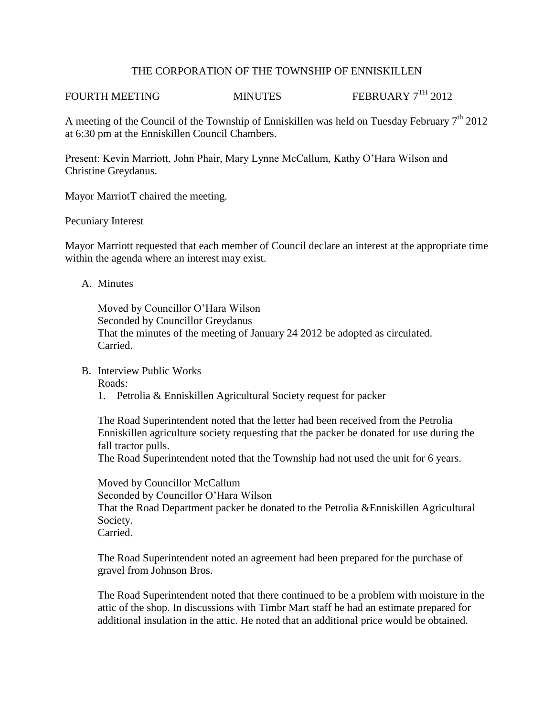## THE CORPORATION OF THE TOWNSHIP OF ENNISKILLEN

FOURTH MEETING MINUTES FEBRUARY 7<sup>TH</sup> 2012

A meeting of the Council of the Township of Enniskillen was held on Tuesday February  $7<sup>th</sup> 2012$ at 6:30 pm at the Enniskillen Council Chambers.

Present: Kevin Marriott, John Phair, Mary Lynne McCallum, Kathy O'Hara Wilson and Christine Greydanus.

Mayor MarriotT chaired the meeting.

## Pecuniary Interest

Mayor Marriott requested that each member of Council declare an interest at the appropriate time within the agenda where an interest may exist.

## A. Minutes

Moved by Councillor O'Hara Wilson Seconded by Councillor Greydanus That the minutes of the meeting of January 24 2012 be adopted as circulated. Carried.

B. Interview Public Works

Roads:

1. Petrolia & Enniskillen Agricultural Society request for packer

The Road Superintendent noted that the letter had been received from the Petrolia Enniskillen agriculture society requesting that the packer be donated for use during the fall tractor pulls.

The Road Superintendent noted that the Township had not used the unit for 6 years.

Moved by Councillor McCallum Seconded by Councillor O'Hara Wilson That the Road Department packer be donated to the Petrolia &Enniskillen Agricultural Society. Carried.

The Road Superintendent noted an agreement had been prepared for the purchase of gravel from Johnson Bros.

The Road Superintendent noted that there continued to be a problem with moisture in the attic of the shop. In discussions with Timbr Mart staff he had an estimate prepared for additional insulation in the attic. He noted that an additional price would be obtained.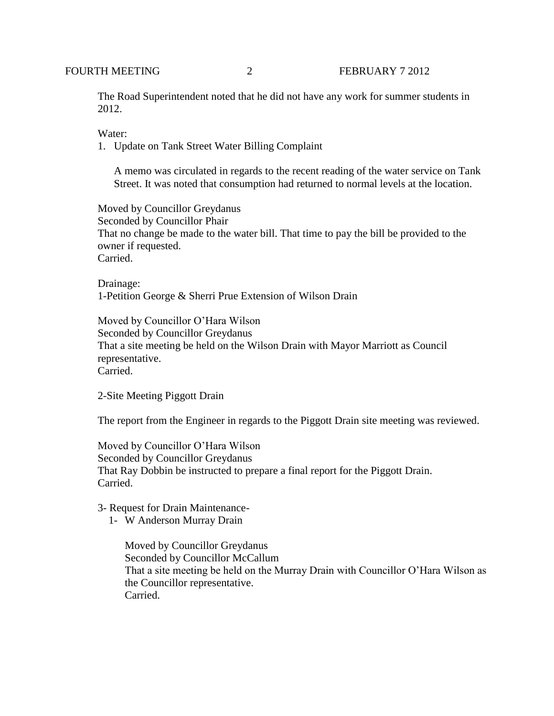The Road Superintendent noted that he did not have any work for summer students in 2012.

Water:

1. Update on Tank Street Water Billing Complaint

A memo was circulated in regards to the recent reading of the water service on Tank Street. It was noted that consumption had returned to normal levels at the location.

Moved by Councillor Greydanus Seconded by Councillor Phair That no change be made to the water bill. That time to pay the bill be provided to the owner if requested. Carried.

Drainage: 1-Petition George & Sherri Prue Extension of Wilson Drain

Moved by Councillor O'Hara Wilson Seconded by Councillor Greydanus That a site meeting be held on the Wilson Drain with Mayor Marriott as Council representative. Carried.

2-Site Meeting Piggott Drain

The report from the Engineer in regards to the Piggott Drain site meeting was reviewed.

Moved by Councillor O'Hara Wilson Seconded by Councillor Greydanus That Ray Dobbin be instructed to prepare a final report for the Piggott Drain. Carried.

3- Request for Drain Maintenance-

1- W Anderson Murray Drain

Moved by Councillor Greydanus Seconded by Councillor McCallum That a site meeting be held on the Murray Drain with Councillor O'Hara Wilson as the Councillor representative. Carried.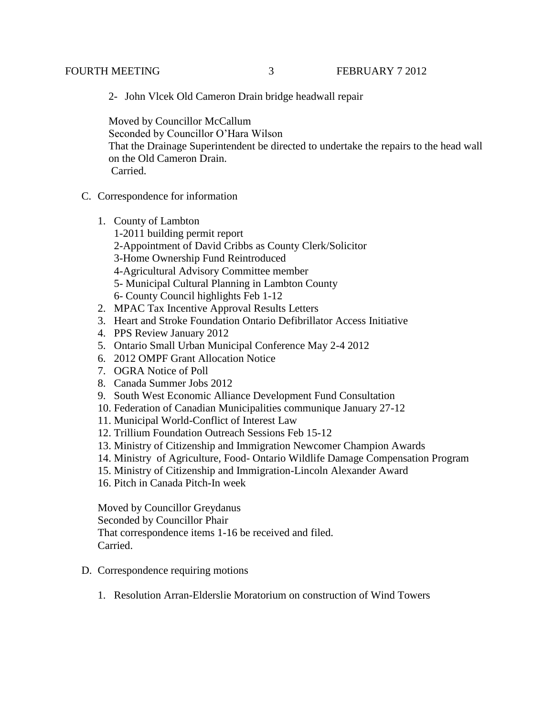2- John Vlcek Old Cameron Drain bridge headwall repair

 Moved by Councillor McCallum Seconded by Councillor O'Hara Wilson That the Drainage Superintendent be directed to undertake the repairs to the head wall on the Old Cameron Drain. Carried.

- C. Correspondence for information
	- 1. County of Lambton
		- 1-2011 building permit report 2-Appointment of David Cribbs as County Clerk/Solicitor 3-Home Ownership Fund Reintroduced 4-Agricultural Advisory Committee member 5- Municipal Cultural Planning in Lambton County 6- County Council highlights Feb 1-12
	- 2. MPAC Tax Incentive Approval Results Letters
	- 3. Heart and Stroke Foundation Ontario Defibrillator Access Initiative
	- 4. PPS Review January 2012
	- 5. Ontario Small Urban Municipal Conference May 2-4 2012
	- 6. 2012 OMPF Grant Allocation Notice
	- 7. OGRA Notice of Poll
	- 8. Canada Summer Jobs 2012
	- 9. South West Economic Alliance Development Fund Consultation
	- 10. Federation of Canadian Municipalities communique January 27-12
	- 11. Municipal World-Conflict of Interest Law
	- 12. Trillium Foundation Outreach Sessions Feb 15-12
	- 13. Ministry of Citizenship and Immigration Newcomer Champion Awards
	- 14. Ministry of Agriculture, Food- Ontario Wildlife Damage Compensation Program
	- 15. Ministry of Citizenship and Immigration-Lincoln Alexander Award
	- 16. Pitch in Canada Pitch-In week

Moved by Councillor Greydanus Seconded by Councillor Phair That correspondence items 1-16 be received and filed. Carried.

- D. Correspondence requiring motions
	- 1. Resolution Arran-Elderslie Moratorium on construction of Wind Towers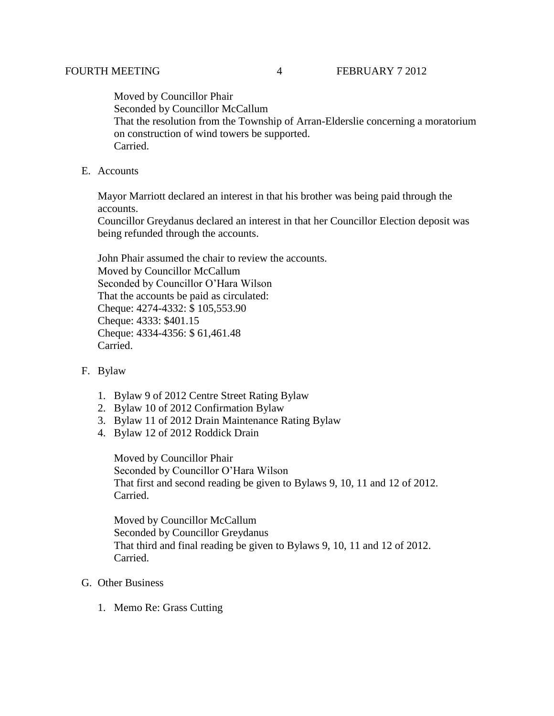Moved by Councillor Phair Seconded by Councillor McCallum That the resolution from the Township of Arran-Elderslie concerning a moratorium on construction of wind towers be supported. Carried.

E. Accounts

Mayor Marriott declared an interest in that his brother was being paid through the accounts.

Councillor Greydanus declared an interest in that her Councillor Election deposit was being refunded through the accounts.

John Phair assumed the chair to review the accounts. Moved by Councillor McCallum Seconded by Councillor O'Hara Wilson That the accounts be paid as circulated: Cheque: 4274-4332: \$ 105,553.90 Cheque: 4333: \$401.15 Cheque: 4334-4356: \$ 61,461.48 Carried.

- F. Bylaw
	- 1. Bylaw 9 of 2012 Centre Street Rating Bylaw
	- 2. Bylaw 10 of 2012 Confirmation Bylaw
	- 3. Bylaw 11 of 2012 Drain Maintenance Rating Bylaw
	- 4. Bylaw 12 of 2012 Roddick Drain

Moved by Councillor Phair Seconded by Councillor O'Hara Wilson That first and second reading be given to Bylaws 9, 10, 11 and 12 of 2012. Carried.

Moved by Councillor McCallum Seconded by Councillor Greydanus That third and final reading be given to Bylaws 9, 10, 11 and 12 of 2012. Carried.

- G. Other Business
	- 1. Memo Re: Grass Cutting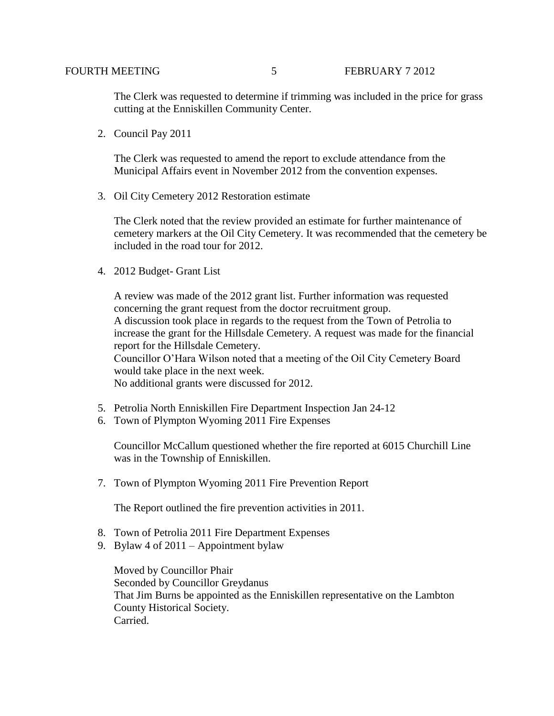The Clerk was requested to determine if trimming was included in the price for grass cutting at the Enniskillen Community Center.

2. Council Pay 2011

The Clerk was requested to amend the report to exclude attendance from the Municipal Affairs event in November 2012 from the convention expenses.

3. Oil City Cemetery 2012 Restoration estimate

The Clerk noted that the review provided an estimate for further maintenance of cemetery markers at the Oil City Cemetery. It was recommended that the cemetery be included in the road tour for 2012.

4. 2012 Budget- Grant List

A review was made of the 2012 grant list. Further information was requested concerning the grant request from the doctor recruitment group. A discussion took place in regards to the request from the Town of Petrolia to increase the grant for the Hillsdale Cemetery. A request was made for the financial report for the Hillsdale Cemetery. Councillor O'Hara Wilson noted that a meeting of the Oil City Cemetery Board would take place in the next week.

No additional grants were discussed for 2012.

- 5. Petrolia North Enniskillen Fire Department Inspection Jan 24-12
- 6. Town of Plympton Wyoming 2011 Fire Expenses

Councillor McCallum questioned whether the fire reported at 6015 Churchill Line was in the Township of Enniskillen.

7. Town of Plympton Wyoming 2011 Fire Prevention Report

The Report outlined the fire prevention activities in 2011.

- 8. Town of Petrolia 2011 Fire Department Expenses
- 9. Bylaw 4 of 2011 Appointment bylaw

Moved by Councillor Phair Seconded by Councillor Greydanus That Jim Burns be appointed as the Enniskillen representative on the Lambton County Historical Society. Carried.